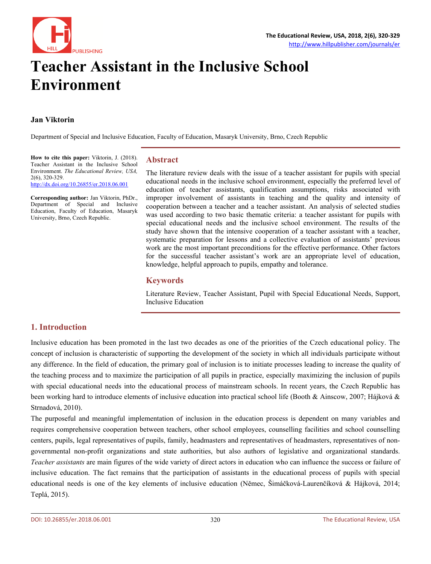

# **Teacher Assistant in the Inclusive School Environment**

#### **Jan Viktorin**

Department of Special and Inclusive Education, Faculty of Education, Masaryk University, Brno, Czech Republic

**How to cite this paper:** Viktorin, J. (2018). Teacher Assistant in the Inclusive School Environment. *The Educational Review, USA,* 2(6), 320-329. <http://dx.doi.org/10.26855/er.2018.06.001>

**Corresponding author:** Jan Viktorin, PhDr., Department of Special and Inclusive Education, Faculty of Education, Masaryk University, Brno, Czech Republic.

# **Abstract**

The literature review deals with the issue of a teacher assistant for pupils with special educational needs in the inclusive school environment, especially the preferred level of education of teacher assistants, qualification assumptions, risks associated with improper involvement of assistants in teaching and the quality and intensity of cooperation between a teacher and a teacher assistant. An analysis of selected studies was used according to two basic thematic criteria: a teacher assistant for pupils with special educational needs and the inclusive school environment. The results of the study have shown that the intensive cooperation of a teacher assistant with a teacher, systematic preparation for lessons and a collective evaluation of assistants' previous work are the most important preconditions for the effective performance. Other factors for the successful teacher assistant's work are an appropriate level of education, knowledge, helpful approach to pupils, empathy and tolerance.

#### **Keywords**

Literature Review, Teacher Assistant, Pupil with Special Educational Needs, Support, Inclusive Education

# **1. Introduction**

Inclusive education has been promoted in the last two decades as one of the priorities of the Czech educational policy. The concept of inclusion is characteristic of supporting the development of the society in which all individuals participate without any difference. In the field of education, the primary goal of inclusion is to initiate processes leading to increase the quality of the teaching process and to maximize the participation of all pupils in practice, especially maximizing the inclusion of pupils with special educational needs into the educational process of mainstream schools. In recent years, the Czech Republic has been working hard to introduce elements of inclusive education into practical school life (Booth & Ainscow, 2007; Hájková & Strnadová, 2010).

The purposeful and meaningful implementation of inclusion in the education process is dependent on many variables and requires comprehensive cooperation between teachers, other school employees, counselling facilities and school counselling centers, pupils, legal representatives of pupils, family, headmasters and representatives of headmasters, representatives of nongovernmental non-profit organizations and state authorities, but also authors of legislative and organizational standards. *Teacher assistants* are main figures of the wide variety of direct actors in education who can influence the success or failure of inclusive education. The fact remains that the participation of assistants in the educational process of pupils with special educational needs is one of the key elements of inclusive education (Němec, Šimáčková-Laurenčíková & Hájková, 2014; Teplá, 2015).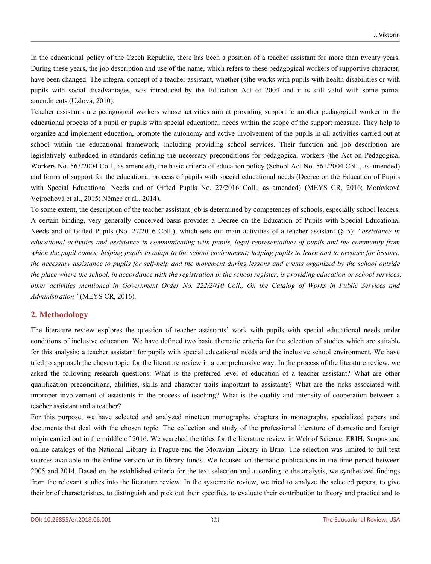In the educational policy of the Czech Republic, there has been a position of a teacher assistant for more than twenty years. During these years, the job description and use of the name, which refers to these pedagogical workers of supportive character, have been changed. The integral concept of a teacher assistant, whether (s)he works with pupils with health disabilities or with pupils with social disadvantages, was introduced by the Education Act of 2004 and it is still valid with some partial amendments (Uzlová, 2010).

Teacher assistants are pedagogical workers whose activities aim at providing support to another pedagogical worker in the educational process of a pupil or pupils with special educational needs within the scope of the support measure. They help to organize and implement education, promote the autonomy and active involvement of the pupils in all activities carried out at school within the educational framework, including providing school services. Their function and job description are legislatively embedded in standards defining the necessary preconditions for pedagogical workers (the Act on Pedagogical Workers No. 563/2004 Coll., as amended), the basic criteria of education policy (School Act No. 561/2004 Coll., as amended) and forms of support for the educational process of pupils with special educational needs (Decree on the Education of Pupils with Special Educational Needs and of Gifted Pupils No. 27/2016 Coll., as amended) (MEYS CR, 2016; Morávková Vejrochová et al., 2015; Němec et al., 2014).

To some extent, the description of the teacher assistant job is determined by competences of schools, especially school leaders. A certain binding, very generally conceived basis provides a Decree on the Education of Pupils with Special Educational Needs and of Gifted Pupils (No. 27/2016 Coll.), which sets out main activities of a teacher assistant (§ 5): *"assistance in* educational activities and assistance in communicating with pupils, legal representatives of pupils and the community from which the pupil comes; helping pupils to adapt to the school environment; helping pupils to learn and to prepare for lessons; the necessary assistance to pupils for self-help and the movement during lessons and events organized by the school outside the place where the school, in accordance with the registration in the school register, is providing education or school services; other activities mentioned in Government Order No. 222/2010 Coll., On the Catalog of Works in Public Services and *Administration"* (MEYS CR, 2016).

# **2. Methodology**

The literature review explores the question of teacher assistants' work with pupils with special educational needs under conditions of inclusive education. We have defined two basic thematic criteria for the selection of studies which are suitable for this analysis: a teacher assistant for pupils with special educational needs and the inclusive school environment. We have tried to approach the chosen topic for the literature review in a comprehensive way. In the process of the literature review, we asked the following research questions: What is the preferred level of education of a teacher assistant? What are other qualification preconditions, abilities, skills and character traits important to assistants? What are the risks associated with improper involvement of assistants in the process of teaching? What is the quality and intensity of cooperation between a teacher assistant and a teacher?

For this purpose, we have selected and analyzed nineteen monographs, chapters in monographs, specialized papers and documents that deal with the chosen topic. The collection and study of the professional literature of domestic and foreign origin carried out in the middle of 2016. We searched the titles for the literature review in Web of Science, ERIH, Scopus and online catalogs of the National Library in Prague and the Moravian Library in Brno. The selection was limited to full-text sources available in the online version or in library funds. We focused on thematic publications in the time period between 2005 and 2014. Based on the established criteria for the text selection and according to the analysis, we synthesized findings from the relevant studies into the literature review. In the systematic review, we tried to analyze the selected papers, to give their brief characteristics, to distinguish and pick out their specifics, to evaluate their contribution to theory and practice and to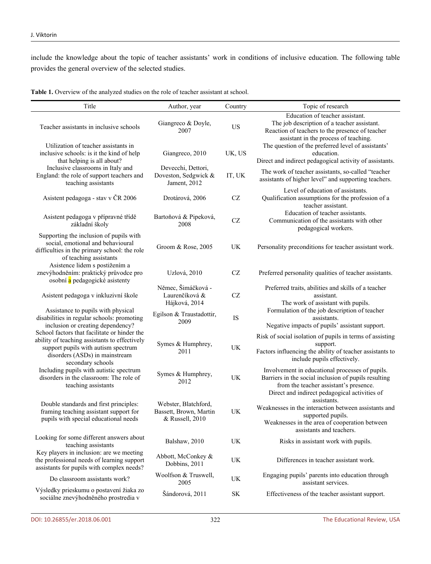include the knowledge about the topic of teacher assistants' work in conditions of inclusive education. The following table provides the general overview of the selected studies.

**Table 1.** Overview of the analyzed studies on the role of teacher assistant at school.

| Title                                                                                                                                                  | Author, year                                                      | Country                           | Topic of research                                                                                                                                                                                  |
|--------------------------------------------------------------------------------------------------------------------------------------------------------|-------------------------------------------------------------------|-----------------------------------|----------------------------------------------------------------------------------------------------------------------------------------------------------------------------------------------------|
| Teacher assistants in inclusive schools                                                                                                                | Giangreco & Doyle,<br>2007                                        | <b>US</b>                         | Education of teacher assistant.<br>The job description of a teacher assistant.<br>Reaction of teachers to the presence of teacher<br>assistant in the process of teaching.                         |
| Utilization of teacher assistants in<br>inclusive schools: is it the kind of help<br>that helping is all about?                                        | Giangreco, 2010                                                   | UK, US                            | The question of the preferred level of assistants'<br>education.<br>Direct and indirect pedagogical activity of assistants.                                                                        |
| Inclusive classrooms in Italy and<br>England: the role of support teachers and<br>teaching assistants                                                  | Devecchi, Dettori,<br>Doveston, Sedgwick &<br>Jament, 2012        | IT, UK                            | The work of teacher assistants, so-called "teacher<br>assistants of higher level" and supporting teachers.                                                                                         |
| Asistent pedagoga - stav v ČR 2006                                                                                                                     | Drotárová, 2006                                                   | $\operatorname{CZ}$               | Level of education of assistants.<br>Qualification assumptions for the profession of a<br>teacher assistant.                                                                                       |
| Asistent pedagoga v přípravné třídě<br>základní školy                                                                                                  | Bartoňová & Pipeková,<br>2008                                     | CZ                                | Education of teacher assistants.<br>Communication of the assistants with other<br>pedagogical workers.                                                                                             |
| Supporting the inclusion of pupils with<br>social, emotional and behavioural<br>difficulties in the primary school: the role<br>of teaching assistants | Groom & Rose, 2005                                                | UK                                | Personality preconditions for teacher assistant work.                                                                                                                                              |
| Asistence lidem s postižením a<br>znevýhodněním: praktický průvodce pro<br>osobní a pedagogické asistenty                                              | Uzlová, 2010                                                      | $\operatorname{CZ}$               | Preferred personality qualities of teacher assistants.                                                                                                                                             |
| Asistent pedagoga v inkluzivní škole                                                                                                                   | Němec, Šimáčková -<br>Laurenčíková &<br>Hájková, 2014             | CZ                                | Preferred traits, abilities and skills of a teacher<br>assistant.<br>The work of assistant with pupils.                                                                                            |
| Assistance to pupils with physical<br>disabilities in regular schools: promoting<br>inclusion or creating dependency?                                  | Egilson & Traustadottir,<br>2009                                  | IS                                | Formulation of the job description of teacher<br>assistants.<br>Negative impacts of pupils' assistant support.                                                                                     |
| School factors that facilitate or hinder the<br>ability of teaching assistants to effectively                                                          |                                                                   |                                   | Risk of social isolation of pupils in terms of assisting                                                                                                                                           |
| support pupils with autism spectrum<br>disorders (ASDs) in mainstream<br>secondary schools                                                             | Symes & Humphrey,<br>2011                                         | UK                                | support.<br>Factors influencing the ability of teacher assistants to<br>include pupils effectively.                                                                                                |
| Including pupils with autistic spectrum<br>disorders in the classroom: The role of<br>teaching assistants                                              | Symes & Humphrey,<br>2012                                         | UK                                | Involvement in educational processes of pupils.<br>Barriers in the social inclusion of pupils resulting<br>from the teacher assistant's presence.<br>Direct and indirect pedagogical activities of |
| Double standards and first principles:<br>framing teaching assistant support for<br>pupils with special educational needs                              | Webster, Blatchford,<br>Bassett, Brown, Martin<br>& Russell, 2010 | $\ensuremath{\text{UK}}\xspace$   | assistants.<br>Weaknesses in the interaction between assistants and<br>supported pupils.<br>Weaknesses in the area of cooperation between<br>assistants and teachers.                              |
| Looking for some different answers about<br>teaching assistants                                                                                        | Balshaw, 2010                                                     | UK                                | Risks in assistant work with pupils.                                                                                                                                                               |
| Key players in inclusion: are we meeting<br>the professional needs of learning support<br>assistants for pupils with complex needs?                    | Abbott, McConkey &<br>Dobbins, 2011                               | UK                                | Differences in teacher assistant work.                                                                                                                                                             |
| Do classroom assistants work?                                                                                                                          | Woolfson & Truswell,<br>2005                                      | UK                                | Engaging pupils' parents into education through<br>assistant services.                                                                                                                             |
| Výsledky prieskumu o postavení žiaka zo<br>sociálne znevýhodněného prostredia v                                                                        | Šándorová, 2011                                                   | $\ensuremath{\mathbf{SK}}\xspace$ | Effectiveness of the teacher assistant support.                                                                                                                                                    |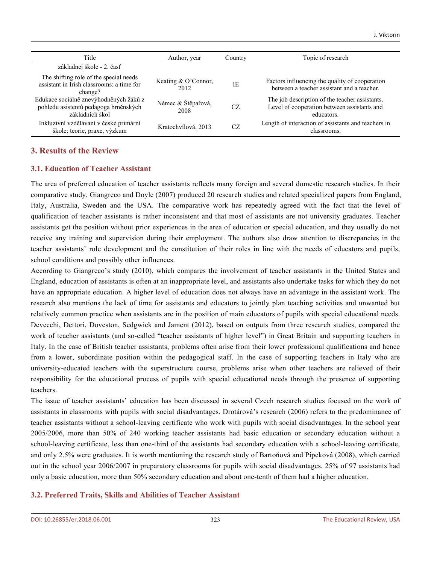| Title                                                                                              | Author, year                  | Country   | Topic of research                                                                                           |
|----------------------------------------------------------------------------------------------------|-------------------------------|-----------|-------------------------------------------------------------------------------------------------------------|
| základnej škole - 2. časť                                                                          |                               |           |                                                                                                             |
| The shifting role of the special needs<br>assistant in Irish classrooms: a time for<br>change?     | Keating $& O'Connor,$<br>2012 | <b>IE</b> | Factors influencing the quality of cooperation<br>between a teacher assistant and a teacher.                |
| Edukace sociálně znevýhodněných žáků z<br>pohledu asistentů pedagoga brněnských<br>základních škol | Němec & Štěpařová,<br>2008    | CZ.       | The job description of the teacher assistants.<br>Level of cooperation between assistants and<br>educators. |
| Inkluzivní vzdělávání v české primární<br>škole: teorie, praxe, výzkum                             | Kratochvílová, 2013           | CZ.       | Length of interaction of assistants and teachers in<br>classrooms.                                          |

# **3. Results of the Review**

#### **3.1. Education of Teacher Assistant**

The area of preferred education of teacher assistants reflects many foreign and several domestic research studies. In their comparative study, Giangreco and Doyle (2007) produced 20 research studies and related specialized papers from England, Italy, Australia, Sweden and the USA. The comparative work has repeatedly agreed with the fact that the level of qualification of teacher assistants is rather inconsistent and that most of assistants are not university graduates. Teacher assistants get the position without prior experiences in the area of education or special education, and they usually do not receive any training and supervision during their employment. The authors also draw attention to discrepancies in the teacher assistants' role development and the constitution of their roles in line with the needs of educators and pupils, school conditions and possibly other influences.

According to Giangreco's study (2010), which compares the involvement of teacher assistants in the United States and England, education of assistants is often at an inappropriate level, and assistants also undertake tasks for which they do not have an appropriate education. A higher level of education does not always have an advantage in the assistant work. The research also mentions the lack of time for assistants and educators to jointly plan teaching activities and unwanted but relatively common practice when assistants are in the position of main educators of pupils with special educational needs. Devecchi, Dettori, Doveston, Sedgwick and Jament (2012), based on outputs from three research studies, compared the work of teacher assistants (and so-called "teacher assistants of higher level") in Great Britain and supporting teachers in Italy. In the case of British teacher assistants, problems often arise from their lower professional qualifications and hence from a lower, subordinate position within the pedagogical staff. In the case of supporting teachers in Italy who are university-educated teachers with the superstructure course, problems arise when other teachers are relieved of their responsibility for the educational process of pupils with special educational needs through the presence of supporting teachers.

The issue of teacher assistants' education has been discussed in several Czech research studies focused on the work of assistants in classrooms with pupils with social disadvantages. Drotárová's research (2006) refers to the predominance of teacher assistants without a school-leaving certificate who work with pupils with social disadvantages. In the school year 2005/2006, more than 50% of 240 working teacher assistants had basic education or secondary education without a school-leaving certificate, less than one-third of the assistants had secondary education with a school-leaving certificate, and only 2.5% were graduates. It is worth mentioning the research study of Bartoňová and Pipeková (2008), which carried out in the school year 2006/2007 in preparatory classrooms for pupils with social disadvantages, 25% of 97 assistants had only a basic education, more than 50% secondary education and about one-tenth of them had a higher education.

#### **3.2. Preferred Traits, Skills and Abilities of Teacher Assistant**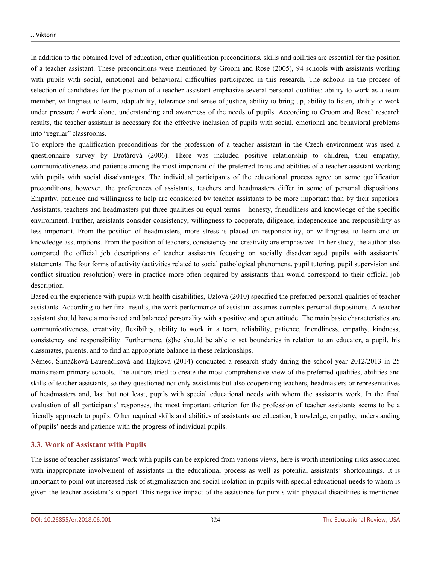In addition to the obtained level of education, other qualification preconditions, skills and abilities are essential for the position of a teacher assistant. These preconditions were mentioned by Groom and Rose (2005), 94 schools with assistants working with pupils with social, emotional and behavioral difficulties participated in this research. The schools in the process of selection of candidates for the position of a teacher assistant emphasize several personal qualities: ability to work as a team member, willingness to learn, adaptability, tolerance and sense of justice, ability to bring up, ability to listen, ability to work under pressure / work alone, understanding and awareness of the needs of pupils. According to Groom and Rose' research results, the teacher assistant is necessary for the effective inclusion of pupils with social, emotional and behavioral problems into "regular" classrooms.

To explore the qualification preconditions for the profession of a teacher assistant in the Czech environment was used a questionnaire survey by Drotárová (2006). There was included positive relationship to children, then empathy, communicativeness and patience among the most important of the preferred traits and abilities of a teacher assistant working with pupils with social disadvantages. The individual participants of the educational process agree on some qualification preconditions, however, the preferences of assistants, teachers and headmasters differ in some of personal dispositions. Empathy, patience and willingness to help are considered by teacher assistants to be more important than by their superiors. Assistants, teachers and headmasters put three qualities on equal terms – honesty, friendliness and knowledge of the specific environment. Further, assistants consider consistency, willingness to cooperate, diligence, independence and responsibility as less important. From the position of headmasters, more stress is placed on responsibility, on willingness to learn and on knowledge assumptions. From the position of teachers, consistency and creativity are emphasized. In her study, the author also compared the official job descriptions of teacher assistants focusing on socially disadvantaged pupils with assistants' statements. The four forms of activity (activities related to social pathological phenomena, pupil tutoring, pupil supervision and conflict situation resolution) were in practice more often required by assistants than would correspond to their official job description.

Based on the experience with pupils with health disabilities, Uzlová (2010) specified the preferred personal qualities of teacher assistants. According to her final results, the work performance of assistant assumes complex personal dispositions. A teacher assistant should have a motivated and balanced personality with a positive and open attitude. The main basic characteristics are communicativeness, creativity, flexibility, ability to work in a team, reliability, patience, friendliness, empathy, kindness, consistency and responsibility. Furthermore, (s)he should be able to set boundaries in relation to an educator, a pupil, his classmates, parents, and to find an appropriate balance in these relationships.

Němec, Šimáčková-Laurenčíková and Hájková (2014) conducted a research study during the school year 2012/2013 in 25 mainstream primary schools. The authors tried to create the most comprehensive view of the preferred qualities, abilities and skills of teacher assistants, so they questioned not only assistants but also cooperating teachers, headmasters or representatives of headmasters and, last but not least, pupils with special educational needs with whom the assistants work. In the final evaluation of all participants' responses, the most important criterion for the profession of teacher assistants seems to be a friendly approach to pupils. Other required skills and abilities of assistants are education, knowledge, empathy, understanding of pupils' needs and patience with the progress of individual pupils.

#### **3.3. Work of Assistant with Pupils**

The issue of teacher assistants' work with pupils can be explored from various views, here is worth mentioning risks associated with inappropriate involvement of assistants in the educational process as well as potential assistants' shortcomings. It is important to point out increased risk of stigmatization and social isolation in pupils with special educational needs to whom is given the teacher assistant's support. This negative impact of the assistance for pupils with physical disabilities is mentioned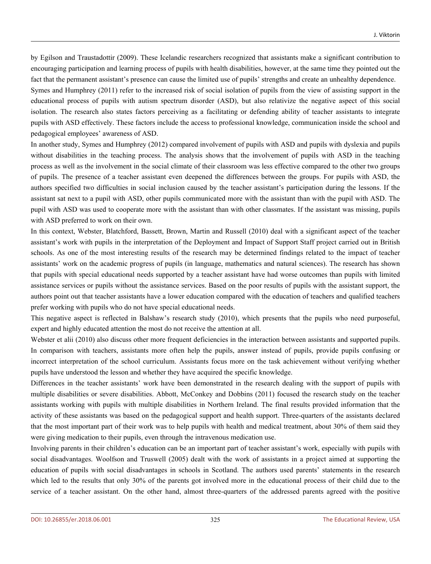by Egilson and Traustadottir (2009). These Icelandic researchers recognized that assistants make a significant contribution to encouraging participation and learning process of pupils with health disabilities, however, at the same time they pointed out the fact that the permanent assistant's presence can cause the limited use of pupils' strengths and create an unhealthy dependence.

Symes and Humphrey (2011) refer to the increased risk of social isolation of pupils from the view of assisting support in the educational process of pupils with autism spectrum disorder (ASD), but also relativize the negative aspect of this social isolation. The research also states factors perceiving as a facilitating or defending ability of teacher assistants to integrate pupils with ASD effectively. These factors include the access to professional knowledge, communication inside the school and pedagogical employees' awareness of ASD.

In another study, Symes and Humphrey (2012) compared involvement of pupils with ASD and pupils with dyslexia and pupils without disabilities in the teaching process. The analysis shows that the involvement of pupils with ASD in the teaching process as well as the involvement in the social climate of their classroom was less effective compared to the other two groups of pupils. The presence of a teacher assistant even deepened the differences between the groups. For pupils with ASD, the authors specified two difficulties in social inclusion caused by the teacher assistant's participation during the lessons. If the assistant sat next to a pupil with ASD, other pupils communicated more with the assistant than with the pupil with ASD. The pupil with ASD was used to cooperate more with the assistant than with other classmates. If the assistant was missing, pupils with ASD preferred to work on their own.

In this context, Webster, Blatchford, Bassett, Brown, Martin and Russell (2010) deal with a significant aspect of the teacher assistant's work with pupils in the interpretation of the Deployment and Impact of Support Staff project carried out in British schools. As one of the most interesting results of the research may be determined findings related to the impact of teacher assistants' work on the academic progress of pupils (in language, mathematics and natural sciences). The research has shown that pupils with special educational needs supported by a teacher assistant have had worse outcomes than pupils with limited assistance services or pupils without the assistance services. Based on the poor results of pupils with the assistant support, the authors point out that teacher assistants have a lower education compared with the education of teachers and qualified teachers prefer working with pupils who do not have special educational needs.

This negative aspect is reflected in Balshaw's research study (2010), which presents that the pupils who need purposeful, expert and highly educated attention the most do not receive the attention at all.

Webster et alii (2010) also discuss other more frequent deficiencies in the interaction between assistants and supported pupils. In comparison with teachers, assistants more often help the pupils, answer instead of pupils, provide pupils confusing or incorrect interpretation of the school curriculum. Assistants focus more on the task achievement without verifying whether pupils have understood the lesson and whether they have acquired the specific knowledge.

Differences in the teacher assistants' work have been demonstrated in the research dealing with the support of pupils with multiple disabilities or severe disabilities. Abbott, McConkey and Dobbins (2011) focused the research study on the teacher assistants working with pupils with multiple disabilities in Northern Ireland. The final results provided information that the activity of these assistants was based on the pedagogical support and health support. Three-quarters of the assistants declared that the most important part of their work was to help pupils with health and medical treatment, about 30% of them said they were giving medication to their pupils, even through the intravenous medication use.

Involving parents in their children's education can be an important part of teacher assistant's work, especially with pupils with social disadvantages. Woolfson and Truswell (2005) dealt with the work of assistants in a project aimed at supporting the education of pupils with social disadvantages in schools in Scotland. The authors used parents' statements in the research which led to the results that only 30% of the parents got involved more in the educational process of their child due to the service of a teacher assistant. On the other hand, almost three-quarters of the addressed parents agreed with the positive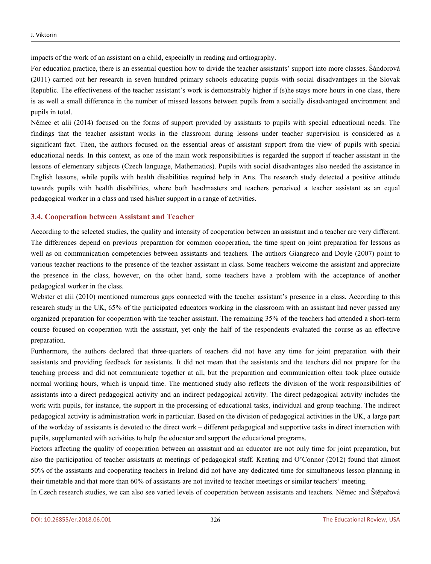impacts of the work of an assistant on a child, especially in reading and orthography.

For education practice, there is an essential question how to divide the teacher assistants' support into more classes. Šándorová (2011) carried out her research in seven hundred primary schools educating pupils with social disadvantages in the Slovak Republic. The effectiveness of the teacher assistant's work is demonstrably higher if (s)he stays more hours in one class, there is as well a small difference in the number of missed lessons between pupils from a socially disadvantaged environment and pupils in total.

Němec et alii (2014) focused on the forms of support provided by assistants to pupils with special educational needs. The findings that the teacher assistant works in the classroom during lessons under teacher supervision is considered as a significant fact. Then, the authors focused on the essential areas of assistant support from the view of pupils with special educational needs. In this context, as one of the main work responsibilities is regarded the support if teacher assistant in the lessons of elementary subjects (Czech language, Mathematics). Pupils with social disadvantages also needed the assistance in English lessons, while pupils with health disabilities required help in Arts. The research study detected a positive attitude towards pupils with health disabilities, where both headmasters and teachers perceived a teacher assistant as an equal pedagogical worker in a class and used his/her support in a range of activities.

#### **3.4. Cooperation between Assistant and Teacher**

According to the selected studies, the quality and intensity of cooperation between an assistant and a teacher are very different. The differences depend on previous preparation for common cooperation, the time spent on joint preparation for lessons as well as on communication competencies between assistants and teachers. The authors Giangreco and Doyle (2007) point to various teacher reactions to the presence of the teacher assistant in class. Some teachers welcome the assistant and appreciate the presence in the class, however, on the other hand, some teachers have a problem with the acceptance of another pedagogical worker in the class.

Webster et alii (2010) mentioned numerous gaps connected with the teacher assistant's presence in a class. According to this research study in the UK, 65% of the participated educators working in the classroom with an assistant had never passed any organized preparation for cooperation with the teacher assistant. The remaining 35% of the teachers had attended a short-term course focused on cooperation with the assistant, yet only the half of the respondents evaluated the course as an effective preparation.

Furthermore, the authors declared that three-quarters of teachers did not have any time for joint preparation with their assistants and providing feedback for assistants. It did not mean that the assistants and the teachers did not prepare for the teaching process and did not communicate together at all, but the preparation and communication often took place outside normal working hours, which is unpaid time. The mentioned study also reflects the division of the work responsibilities of assistants into a direct pedagogical activity and an indirect pedagogical activity. The direct pedagogical activity includes the work with pupils, for instance, the support in the processing of educational tasks, individual and group teaching. The indirect pedagogical activity is administration work in particular. Based on the division of pedagogical activities in the UK, a large part of the workday of assistants is devoted to the direct work – different pedagogical and supportive tasks in direct interaction with pupils, supplemented with activities to help the educator and support the educational programs.

Factors affecting the quality of cooperation between an assistant and an educator are not only time for joint preparation, but also the participation of teacher assistants at meetings of pedagogical staff. Keating and O'Connor (2012) found that almost 50% of the assistants and cooperating teachers in Ireland did not have any dedicated time for simultaneous lesson planning in their timetable and that more than 60% of assistants are not invited to teacher meetings or similar teachers' meeting.

In Czech research studies, we can also see varied levels of cooperation between assistants and teachers. Němec and Štěpařová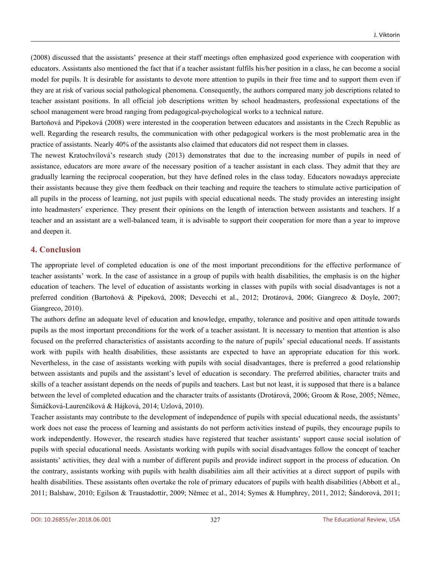(2008) discussed that the assistants' presence at their staff meetings often emphasized good experience with cooperation with educators. Assistants also mentioned the fact that if a teacher assistant fulfils his/her position in a class, he can become a social model for pupils. It is desirable for assistants to devote more attention to pupils in their free time and to support them even if they are at risk of various social pathological phenomena. Consequently, the authors compared many job descriptions related to teacher assistant positions. In all official job descriptions written by school headmasters, professional expectations of the school management were broad ranging from pedagogical-psychological works to a technical nature.

Bartoňová and Pipeková (2008) were interested in the cooperation between educators and assistants in the Czech Republic as well. Regarding the research results, the communication with other pedagogical workers is the most problematic area in the practice of assistants. Nearly 40% of the assistants also claimed that educators did not respect them in classes.

The newest Kratochvílová's research study (2013) demonstrates that due to the increasing number of pupils in need of assistance, educators are more aware of the necessary position of a teacher assistant in each class. They admit that they are gradually learning the reciprocal cooperation, but they have defined roles in the class today. Educators nowadays appreciate their assistants because they give them feedback on their teaching and require the teachers to stimulate active participation of all pupils in the process of learning, not just pupils with special educational needs. The study provides an interesting insight into headmasters' experience. They present their opinions on the length of interaction between assistants and teachers. If a teacher and an assistant are a well-balanced team, it is advisable to support their cooperation for more than a year to improve and deepen it.

#### **4. Conclusion**

The appropriate level of completed education is one of the most important preconditions for the effective performance of teacher assistants' work. In the case of assistance in a group of pupils with health disabilities, the emphasis is on the higher education of teachers. The level of education of assistants working in classes with pupils with social disadvantages is not a preferred condition (Bartoňová & Pipeková, 2008; Devecchi et al., 2012; Drotárová, 2006; Giangreco & Doyle, 2007; Giangreco, 2010).

The authors define an adequate level of education and knowledge, empathy, tolerance and positive and open attitude towards pupils as the most important preconditions for the work of a teacher assistant. It is necessary to mention that attention is also focused on the preferred characteristics of assistants according to the nature of pupils' special educational needs. If assistants work with pupils with health disabilities, these assistants are expected to have an appropriate education for this work. Nevertheless, in the case of assistants working with pupils with social disadvantages, there is preferred a good relationship between assistants and pupils and the assistant's level of education is secondary. The preferred abilities, character traits and skills of a teacher assistant depends on the needs of pupils and teachers. Last but not least, it is supposed that there is a balance between the level of completed education and the character traits of assistants (Drotárová, 2006; Groom & Rose, 2005; Němec, Šimáčková-Laurenčíková & Hájková, 2014; Uzlová, 2010).

Teacher assistants may contribute to the development of independence of pupils with special educational needs, the assistants' work does not ease the process of learning and assistants do not perform activities instead of pupils, they encourage pupils to work independently. However, the research studies have registered that teacher assistants' support cause social isolation of pupils with special educational needs. Assistants working with pupils with social disadvantages follow the concept of teacher assistants' activities, they deal with a number of different pupils and provide indirect support in the process of education. On the contrary, assistants working with pupils with health disabilities aim all their activities at a direct support of pupils with health disabilities. These assistants often overtake the role of primary educators of pupils with health disabilities (Abbott et al., 2011; Balshaw, 2010; Egilson & Traustadottir, 2009; Němec et al., 2014; Symes & Humphrey, 2011, 2012; Šándorová, 2011;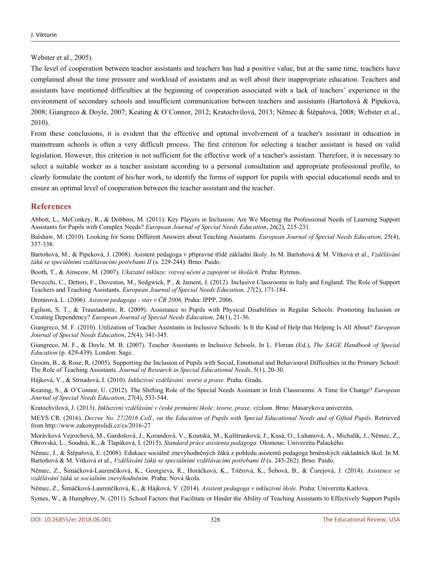Webster et al., 2005).

The level of cooperation between teacher assistants and teachers has had a positive value, but at the same time, teachers have complained about the time pressure and workload of assistants and as well about their inappropriate education. Teachers and assistants have mentioned difficulties at the beginning of cooperation associated with a lack of teachers' experience in the environment of secondary schools and insufficient communication between teachers and assistants (Bartoňová & Pipeková, 2008; Giangreco & Doyle, 2007; Keating & O'Connor, 2012; Kratochvílová, 2013; Němec & Štěpařová, 2008; Webster et al., 2010).

From these conclusions, it is evident that the effective and optimal involvement of a teacher's assistant in education in mainstream schools is often a very difficult process. The first criterion for selecting a teacher assistant is based on valid legislation. However, this criterion is not sufficient for the effective work of a teacher's assistant. Therefore, it is necessary to select a suitable worker as a teacher assistant according to a personal consultation and appropriate professional profile, to clearly formulate the content of his/her work, to identify the forms of support for pupils with special educational needs and to ensure an optimal level of cooperation between the teacher assistant and the teacher.

### **References**

Abbott, L., McConkey, R., & Dobbins, M. (2011). Key Players in Inclusion: Are We Meeting the Professional Needs of Learning Support Assistants for Pupils with Complex Needs? *European Journal of Special Needs Education*, 26(2), 215-231.

Balshaw, M. (2010). Looking for Some Different Answers about Teaching Assistants*. European Journal of Special Needs Education*, 25(4), 337-338.

Bartoňová, M., & Pipeková, J. (2008). Asistent pedagoga v přípravné třídě základní školy. In M. Bartoňová & M. Vítková et al., *Vzdělávání žáků se speciálními vzdělávacími potřebami II* (s. 229-244). Brno: Paido.

Booth, T., & Ainscow, M. (2007). *Ukazatel inkluze: rozvoj učení a zapojení ve školách.* Praha: Rytmus.

Devecchi, C., Dettori, F., Doveston, M., Sedgwick, P., & Jament, J. (2012). Inclusive Classrooms in Italy and England: The Role of Support Teachers and Teaching Assistants. *European Journal of Special Needs Education, 27*(2), 171-184.

Drotárová, L. (2006). *Asistent pedagoga - stav v ČR 2006.* Praha: IPPP, 2006.

Egilson, S. T., & Traustadottir, R. (2009). Assistance to Pupils with Physical Disabilities in Regular Schools: Promoting Inclusion or Creating Dependency? *European Journal of Special Needs Education*, 24(1), 21-36.

Giangreco, M. F. (2010). Utilization of Teacher Assistants in Inclusive Schools: Is It the Kind of Help that Helping Is All About? *European Journal of Special Needs Education*, 25(4), 341-345.

Giangreco, M. F., & Doyle, M. B. (2007). Teacher Assistants in Inclusive Schools. In L. Florian (Ed.), *The SAGE Handbook of Special Education* (p. 429-439). London: Sage.

Groom, B., & Rose, R. (2005). Supporting the Inclusion of Pupils with Social, Emotional and Behavioural Difficulties in the Primary School: The Role of Teaching Assistants. *Journal of Research in Special Educational Needs*, 5(1), 20-30.

Hájková, V., & Strnadová, I. (2010). *Inkluzivní vzdělávání: teorie a praxe.* Praha: Grada.

Keating, S., & O'Connor, U. (2012). The Shifting Role of the Special Needs Assistant in Irish Classrooms: A Time for Change? *European Journal of Special Needs Education*, 27(4), 533-544.

Kratochvílová, J. (2013). *Inkluzivní vzdělávání v české primární škole: teorie, praxe, výzkum.* Brno: Masarykova univerzita.

MEYS CR. (2016). Decree No. 27/2016 Coll., on the Education of Pupils with Special Educational Needs and of Gifted Pupils. Retrieved from http://www.zakonyprolidi.cz/cs/2016-27

Morávková Vejrochová, M., Gardošová, J., Korandová, V., Koutská, M., Kulštrunková, J., Kusá, O., Luhanová, A., Michalík, J., Němec, Z., Obrovská, L., Soudná, K., & Tlapáková, I. (2015). *Standard práce asistenta pedagoga.* Olomouc: Univerzita Palackého.

Němec, J., & Štěpařová, E. (2008). Edukace sociálně znevýhodněných žáků z pohledu asistentů pedagoga brněnských základních škol. In M. Bartoňová & M. Vítková et al., *Vzdělávání žáků se speciálními vzdělávacími potřebami II* (s. 245-262). Brno: Paido.

Němec, Z., Šimáčková-Laurenčíková, K., Georgieva, R., Horáčková, K., Titěrová, K., Šebová, B., & Čurejová, J. (2014). *Asistence ve vzdělávání žáků se sociálním znevýhodněním.* Praha: Nová škola.

Němec, Z., Šimáčková-Laurenčíková, K., & Hájková, V. (2014). *Asistent pedagoga v inkluzivní škole.* Praha: Univerzita Karlova.

Symes, W., & Humphrey, N. (2011). School Factors that Facilitate or Hinder the Ability of Teaching Assistants to Effectively Support Pupils